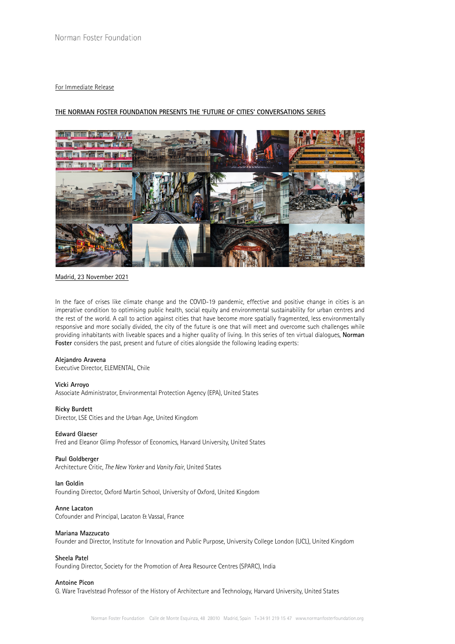## For Immediate Release

# **THE NORMAN FOSTER FOUNDATION PRESENTS THE 'FUTURE OF CITIES' CONVERSATIONS SERIES**



Madrid, 23 November 2021

In the face of crises like climate change and the COVID-19 pandemic, effective and positive change in cities is an imperative condition to optimising public health, social equity and environmental sustainability for urban centres and the rest of the world. A call to action against cities that have become more spatially fragmented, less environmentally responsive and more socially divided, the city of the future is one that will meet and overcome such challenges while providing inhabitants with liveable spaces and a higher quality of living. In this series of ten virtual dialogues, **Norman Foster** considers the past, present and future of cities alongside the following leading experts:

#### **Alejandro Aravena**

Executive Director, ELEMENTAL, Chile

### **Vicki Arroyo**

Associate Administrator, Environmental Protection Agency (EPA), United States

#### **Ricky Burdett**

Director, LSE Cities and the Urban Age, United Kingdom

### **Edward Glaeser**

Fred and Eleanor Glimp Professor of Economics, Harvard University, United States

### **Paul Goldberger**

Architecture Critic, *The New Yorker* and *Vanity Fair*, United States

## **Ian Goldin**

Founding Director, Oxford Martin School, University of Oxford, United Kingdom

# **Anne Lacaton**

Cofounder and Principal, Lacaton & Vassal, France

#### **Mariana Mazzucato**

Founder and Director, Institute for Innovation and Public Purpose, University College London (UCL), United Kingdom

## **Sheela Patel**

Founding Director, Society for the Promotion of Area Resource Centres (SPARC), India

# **Antoine Picon**

G. Ware Travelstead Professor of the History of Architecture and Technology, Harvard University, United States